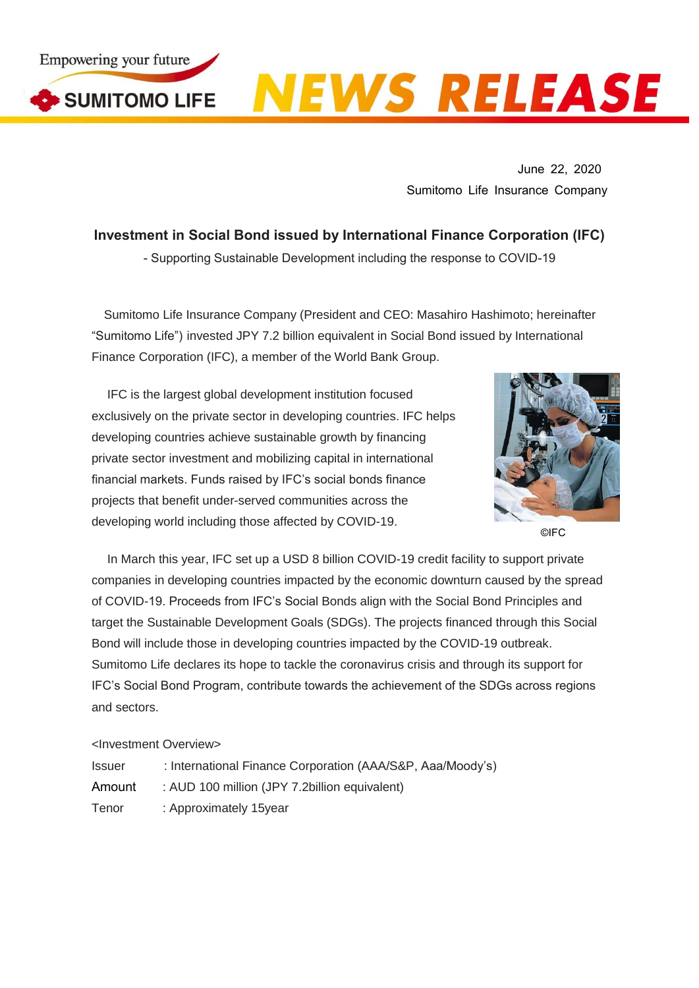

## **NEWS RELEASE**

June 22, 2020 Sumitomo Life Insurance Company

**Investment in Social Bond issued by International Finance Corporation (IFC)** - Supporting Sustainable Development including the response to COVID-19

Sumitomo Life Insurance Company (President and CEO: Masahiro Hashimoto; hereinafter "Sumitomo Life") invested JPY 7.2 billion equivalent in Social Bond issued by International Finance Corporation (IFC), a member of the World Bank Group.

IFC is the largest global development institution focused exclusively on the private sector in developing countries. IFC helps developing countries achieve sustainable growth by financing private sector investment and mobilizing capital in international financial markets. Funds raised by IFC's social bonds finance projects that benefit under-served communities across the developing world including those affected by COVID-19.



©IFC

In March this year, IFC set up a USD 8 billion COVID-19 credit facility to support private companies in developing countries impacted by the economic downturn caused by the spread of COVID-19. Proceeds from IFC's Social Bonds align with the Social Bond Principles and target the Sustainable Development Goals (SDGs). The projects financed through this Social Bond will include those in developing countries impacted by the COVID-19 outbreak. Sumitomo Life declares its hope to tackle the coronavirus crisis and through its support for IFC's Social Bond Program, contribute towards the achievement of the SDGs across regions and sectors.

## <Investment Overview>

| <b>Issuer</b> | : International Finance Corporation (AAA/S&P, Aaa/Moody's) |
|---------------|------------------------------------------------------------|
| Amount        | : AUD 100 million (JPY 7.2billion equivalent)              |
| Tenor         | : Approximately 15year                                     |